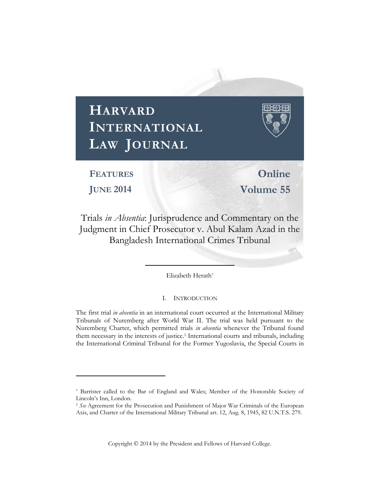# **HARVARD INTERNATIONAL LAW JOURNAL FEATURES Online JUNE 2014 Volume 55** Trials *in Absentia*: Jurisprudence and Commentary on the Judgment in Chief Prosecutor v. Abul Kalam Azad in the

Elizabeth Herath\*

Bangladesh International Crimes Tribunal

# I. INTRODUCTION

The first trial *in absentia* in an international court occurred at the International Military Tribunals of Nuremberg after World War II. The trial was held pursuant to the Nuremberg Charter, which permitted trials *in absentia* whenever the Tribunal found them necessary in the interests of justice.<sup>1</sup> International courts and tribunals, including the International Criminal Tribunal for the Former Yugoslavia, the Special Courts in

 $\overline{a}$ 

Copyright © 2014 by the President and Fellows of Harvard College.

<sup>\*</sup> Barrister called to the Bar of England and Wales; Member of the Honorable Society of Lincoln's Inn, London.

<sup>1</sup> *See* Agreement for the Prosecution and Punishment of Major War Criminals of the European Axis, and Charter of the International Military Tribunal art. 12, Aug. 8, 1945, 82 U.N.T.S. 279.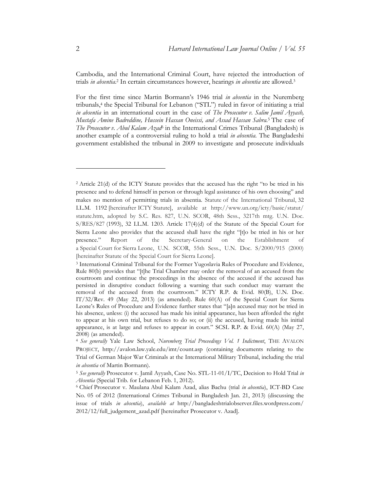Cambodia, and the International Criminal Court, have rejected the introduction of trials *in absentia*. <sup>2</sup> In certain circumstances however, hearings *in absentia* are allowed.<sup>3</sup>

For the first time since Martin Bormann's 1946 trial *in absentia* in the Nuremberg tribunals,<sup>4</sup> the Special Tribunal for Lebanon ("STL") ruled in favor of initiating a trial *in absentia* in an international court in the case of *The Prosecutor v. Salim Jamil Ayyash, Mustafa Amine Badreddine, Hussein Hassan Oneissi, and Assad Hassan Sabra.*<sup>5</sup> The case of *The Prosecutor v. Abul Kalam Azad*<sup>6</sup> in the International Crimes Tribunal (Bangladesh) is another example of a controversial ruling to hold a trial *in absentia*. The Bangladeshi government established the tribunal in 2009 to investigate and prosecute individuals

<sup>2</sup> Article 21(d) of the ICTY Statute provides that the accused has the right "to be tried in his presence and to defend himself in person or through legal assistance of his own choosing" and makes no mention of permitting trials in absentia. Statute of the International Tribunal, 32 I.L.M. 1192 [hereinafter ICTY Statute], available at http://www.un.org/icty/basic/statut/ statute.htm, adopted by S.C. Res. 827, U.N. SCOR, 48th Sess., 3217th mtg. U.N. Doc.  $S/RES/827$  (1993), 32 I.L.M. 1203. Article 17(4)(d) of the Statute of the Special Court for Sierra Leone also provides that the accused shall have the right "[t]o be tried in his or her presence." Report of the Secretary-General on the Establishment of a Special Court for Sierra Leone, U.N. SCOR, 55th Sess., U.N. Doc. S/2000/915 (2000) [hereinafter Statute of the Special Court for Sierra Leone].

<sup>3</sup> International Criminal Tribunal for the Former Yugoslavia Rules of Procedure and Evidence, Rule 80(b) provides that "[t]he Trial Chamber may order the removal of an accused from the courtroom and continue the proceedings in the absence of the accused if the accused has persisted in disruptive conduct following a warning that such conduct may warrant the removal of the accused from the courtroom." ICTY R.P. & Evid. 80(B), U.N. Doc. IT/32/Rev. 49 (May 22, 2013) (as amended). Rule 60(A) of the Special Court for Sierra Leone's Rules of Procedure and Evidence further states that "[a]n accused may not be tried in his absence, unless: (i) the accused has made his initial appearance, has been afforded the right to appear at his own trial, but refuses to do so; or (ii) the accused, having made his initial appearance, is at large and refuses to appear in court." SCSL R.P. & Evid. 60(A) (May 27, 2008) (as amended).

<sup>4</sup> *See generally* Yale Law School, *Nuremberg Trial Proceedings Vol. 1 Indictment*, THE AVALON PROJECT, http://avalon.law.yale.edu/imt/count.asp (containing documents relating to the Trial of German Major War Criminals at the International Military Tribunal, including the trial *in absentia* of Martin Bormann).

<sup>5</sup> *See generally* Prosecutor v. Jamil Ayyash, Case No. STL-11-01/I/TC, Decision to Hold Trial *in Absentia* (Special Trib. for Lebanon Feb. 1, 2012).

<sup>6</sup> Chief Prosecutor v. Maulana Abul Kalam Azad, alias Bachu (trial *in absentia*), ICT-BD Case No. 05 of 2012 (International Crimes Tribunal in Bangladesh Jan. 21, 2013) (discussing the issue of trials *in absentia*), *available at* [http://bangladeshtrialobserver.files.wordpress.com/](http://bangladeshtrialobserver.files.wordpress.com/2012/12/full_judgement_azad.pdf) [2012/12/full\\_judgement\\_azad.pdf](http://bangladeshtrialobserver.files.wordpress.com/2012/12/full_judgement_azad.pdf) [hereinafter Prosecutor v. Azad].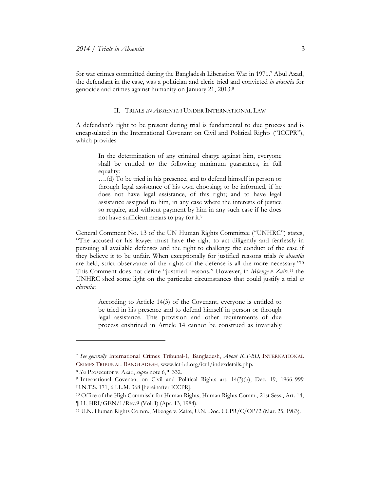for war crimes committed during the Bangladesh Liberation War in 1971.<sup>7</sup> Abul Azad, the defendant in the case, was a politician and cleric tried and convicted *in absentia* for genocide and crimes against humanity on January 21, 2013.<sup>8</sup>

### II. TRIALS *IN ABSENTIA* UNDER INTERNATIONAL LAW

A defendant's right to be present during trial is fundamental to due process and is encapsulated in the International Covenant on Civil and Political Rights ("ICCPR"), which provides:

In the determination of any criminal charge against him, everyone shall be entitled to the following minimum guarantees, in full equality:

….(d) To be tried in his presence, and to defend himself in person or through legal assistance of his own choosing; to be informed, if he does not have legal assistance, of this right; and to have legal assistance assigned to him, in any case where the interests of justice so require, and without payment by him in any such case if he does not have sufficient means to pay for it.<sup>9</sup>

General Comment No. 13 of the UN Human Rights Committee ("UNHRC") states, "The accused or his lawyer must have the right to act diligently and fearlessly in pursuing all available defenses and the right to challenge the conduct of the case if they believe it to be unfair. When exceptionally for justified reasons trials *in absentia* are held, strict observance of the rights of the defense is all the more necessary."<sup>10</sup> This Comment does not define "justified reasons." However, in *Mbenge v. Zaire,*<sup>11</sup> the UNHRC shed some light on the particular circumstances that could justify a trial *in absentia*:

According to Article 14(3) of the Covenant, everyone is entitled to be tried in his presence and to defend himself in person or through legal assistance. This provision and other requirements of due process enshrined in Article 14 cannot be construed as invariably

<sup>7</sup> *See generally* International Crimes Tribunal-1, Bangladesh, *About ICT-BD,* INTERNATIONAL CRIMES TRIBUNAL, BANGLADESH, www.ict-bd.org/ict1/indexdetails.php.

<sup>8</sup> *See* Prosecutor v. Azad, *supra* note 6, ¶ 332.

<sup>9</sup> International Covenant on Civil and Political Rights art. 14(3)(b), Dec. 19, 1966, 999 U.N.T.S. 171, 6 I.L.M. 368 [hereinafter ICCPR].

<sup>10</sup> Office of the High Commiss'r for Human Rights, Human Rights Comm., 21st Sess., Art. 14, ¶ 11, HRI/GEN/1/Rev.9 (Vol. I) (Apr. 13, 1984).

<sup>11</sup> U.N. Human Rights Comm., Mbenge v. Zaire, U.N. Doc. CCPR/C/OP/2 (Mar. 25, 1983).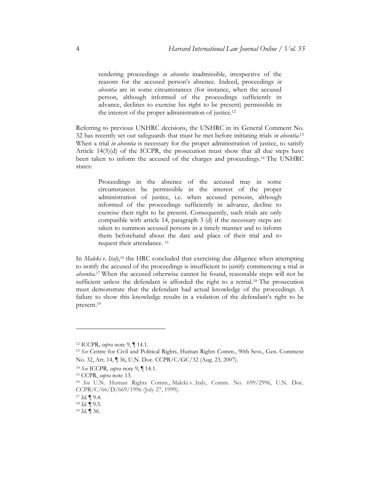rendering proceedings *in absentia* inadmissible, irrespective of the reasons for the accused person's absence. Indeed, proceedings *in absentia* are in some circumstances (for instance, when the accused person, although informed of the proceedings sufficiently in advance, declines to exercise his right to be present) permissible in the interest of the proper administration of justice.<sup>12</sup>

Referring to previous UNHRC decisions, the UNHRC in its General Comment No. 32 has recently set out safeguards that must be met before initiating trials *in absentia*. 13 When a trial *in absentia* is necessary for the proper administration of justice, to satisfy Article 14(3)(d) of the ICCPR, the prosecution must show that all due steps have been taken to inform the accused of the charges and proceedings.<sup>14</sup> The UNHRC states:

Proceedings in the absence of the accused may in some circumstances be permissible in the interest of the proper administration of justice, i.e. when accused persons, although informed of the proceedings sufficiently in advance, decline to exercise their right to be present. Consequently, such trials are only compatible with article 14, paragraph 3 (d) if the necessary steps are taken to summon accused persons in a timely manner and to inform them beforehand about the date and place of their trial and to request their attendance. <sup>15</sup>

In *Maleki v. Italy*,<sup>16</sup> the HRC concluded that exercising due diligence when attempting to notify the accused of the proceedings is insufficient to justify commencing a trial *in absentia*. <sup>17</sup> When the accused otherwise cannot be found, reasonable steps will not be sufficient unless the defendant is afforded the right to a retrial.<sup>18</sup> The prosecution must demonstrate that the defendant had actual knowledge of the proceedings. A failure to show this knowledge results in a violation of the defendant's right to be present.<sup>19</sup>

<sup>12</sup> ICCPR, *supra* note 9, ¶ 14.1.

<sup>13</sup> *See* Centre for Civil and Political Rights, Human Rights Comm., 90th Sess., Gen. Comment No. 32, Art. 14, ¶ 36, U.N. Doc. CCPR/C/GC/32 (Aug. 23, 2007).

<sup>14</sup> *See* ICCPR, *supra* note 9, ¶ 14.1.

<sup>15</sup> CCPR, *supra* note 13.

<sup>16</sup> *See* U.N. Human Rights Comm., Maleki v. Italy, Comm. No. 699/2996, U.N. Doc. CCPR/C/66/D/669/1996 (July 27, 1999).

<sup>17</sup> *Id.* ¶ 9.4.

<sup>18</sup> *Id.* ¶ 9.5.

<sup>19</sup> *Id.* ¶ 36.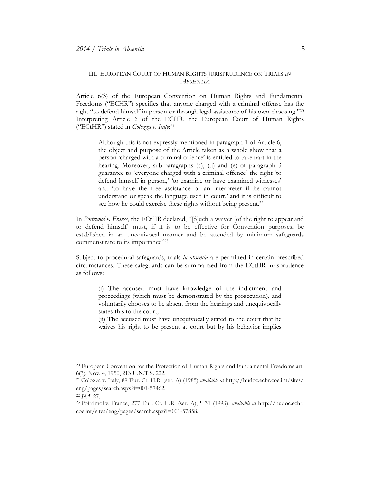#### III. EUROPEAN COURT OF HUMAN RIGHTS JURISPRUDENCE ON TRIALS *IN ABSENTIA*

Article 6(3) of the European Convention on Human Rights and Fundamental Freedoms ("ECHR") specifies that anyone charged with a criminal offense has the right "to defend himself in person or through legal assistance of his own choosing."<sup>20</sup> Interpreting Article 6 of the ECHR, the European Court of Human Rights ("ECtHR") stated in *Colozza v. Italy*: 21

Although this is not expressly mentioned in paragraph 1 of Article 6, the object and purpose of the Article taken as a whole show that a person 'charged with a criminal offence' is entitled to take part in the hearing. Moreover, sub-paragraphs (c), (d) and (e) of paragraph 3 guarantee to 'everyone charged with a criminal offence' the right 'to defend himself in person,' 'to examine or have examined witnesses' and 'to have the free assistance of an interpreter if he cannot understand or speak the language used in court,' and it is difficult to see how he could exercise these rights without being present.<sup>22</sup>

In *Poitrimol v. France*, the ECtHR declared, "[S]uch a waiver [of the right to appear and to defend himself] must, if it is to be effective for Convention purposes, be established in an unequivocal manner and be attended by minimum safeguards commensurate to its importance" 23

Subject to procedural safeguards, trials *in absentia* are permitted in certain prescribed circumstances. These safeguards can be summarized from the ECtHR jurisprudence as follows:

(i) The accused must have knowledge of the indictment and proceedings (which must be demonstrated by the prosecution), and voluntarily chooses to be absent from the hearings and unequivocally states this to the court;

(ii) The accused must have unequivocally stated to the court that he waives his right to be present at court but by his behavior implies

<sup>20</sup> European Convention for the Protection of Human Rights and Fundamental Freedoms art. 6(3), Nov. 4, 1950, 213 U.N.T.S. 222.

<sup>21</sup> Colozza v. Italy, 89 Eur. Ct. H.R. (ser. A) (1985) *available at* http://hudoc.echr.coe.int/sites/ eng/pages/search.aspx?i=001-57462.

<sup>22</sup> *Id*. ¶ 27.

<sup>23</sup> Poitrimol v. France, 277 Eur. Ct. H.R. (ser. A), ¶ 31 (1993), *available at* http://hudoc.echr. coe.int/sites/eng/pages/search.aspx?i=001-57858.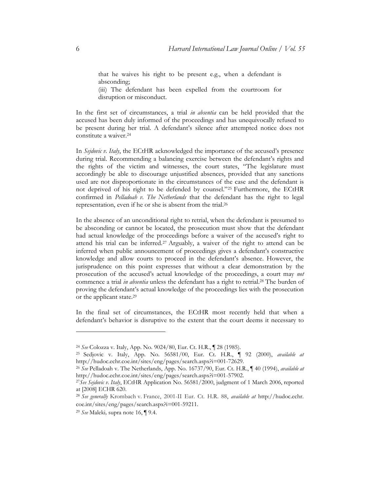that he waives his right to be present e.g., when a defendant is absconding;

(iii) The defendant has been expelled from the courtroom for disruption or misconduct.

In the first set of circumstances, a trial *in absentia* can be held provided that the accused has been duly informed of the proceedings and has unequivocally refused to be present during her trial. A defendant's silence after attempted notice does not constitute a waiver.<sup>24</sup>

In *Sejdovic v. Italy*, the ECtHR acknowledged the importance of the accused's presence during trial. Recommending a balancing exercise between the defendant's rights and the rights of the victim and witnesses, the court states, "The legislature must accordingly be able to discourage unjustified absences, provided that any sanctions used are not disproportionate in the circumstances of the case and the defendant is not deprived of his right to be defended by counsel."<sup>25</sup> Furthermore, the ECtHR confirmed in *Pelladoah v. The Netherlands* that the defendant has the right to legal representation, even if he or she is absent from the trial.<sup>26</sup>

In the absence of an unconditional right to retrial, when the defendant is presumed to be absconding or cannot be located, the prosecution must show that the defendant had actual knowledge of the proceedings before a waiver of the accused's right to attend his trial can be inferred.<sup>27</sup> Arguably, a waiver of the right to attend can be inferred when public announcement of proceedings gives a defendant's constructive knowledge and allow courts to proceed in the defendant's absence. However, the jurisprudence on this point expresses that without a clear demonstration by the prosecution of the accused's actual knowledge of the proceedings, a court may *not* commence a trial *in absentia* unless the defendant has a right to retrial.<sup>28</sup> The burden of proving the defendant's actual knowledge of the proceedings lies with the prosecution or the applicant state.<sup>29</sup>

In the final set of circumstances, the ECtHR most recently held that when a defendant's behavior is disruptive to the extent that the court deems it necessary to

<sup>24</sup> *See* Colozza v. Italy, App. No. 9024/80, Eur. Ct. H.R., ¶ 28 (1985).

<sup>25</sup> Sedjovic v. Italy, App. No. 56581/00, Eur. Ct. H.R., ¶ 92 (2000), *available at* http://hudoc.echr.coe.int/sites/eng/pages/search.aspx?i=001-72629.

<sup>26</sup> *See* Pelladoah v. The Netherlands, App. No. 16737/90, Eur. Ct. H.R., ¶ 40 (1994), *available at* http://hudoc.echr.coe.int/sites/eng/pages/search.aspx?i=001-57902.

<sup>27</sup>*See Sejdovic v. Italy*, ECtHR Application No. 56581/2000, judgment of 1 March 2006, reported at [2008] ECHR 620.

<sup>28</sup> *See generally* Krombach v. France, 2001-II Eur. Ct. H.R. 88, *available at* http://hudoc.echr. coe.int/sites/eng/pages/search.aspx?i=001-59211.

<sup>29</sup> *See* Maleki*,* supra note 16, ¶ 9.4.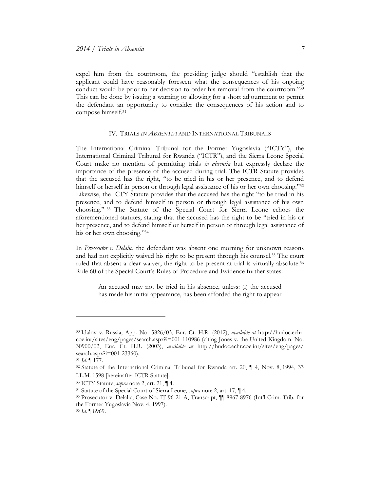expel him from the courtroom, the presiding judge should "establish that the applicant could have reasonably foreseen what the consequences of his ongoing conduct would be prior to her decision to order his removal from the courtroom."<sup>30</sup> This can be done by issuing a warning or allowing for a short adjournment to permit the defendant an opportunity to consider the consequences of his action and to compose himself.<sup>31</sup>

## IV. TRIALS *IN ABSENTIA* AND INTERNATIONAL TRIBUNALS

The International Criminal Tribunal for the Former Yugoslavia ("ICTY"), the International Criminal Tribunal for Rwanda ("ICTR"), and the Sierra Leone Special Court make no mention of permitting trials *in absentia* but expressly declare the importance of the presence of the accused during trial. The ICTR Statute provides that the accused has the right, "to be tried in his or her presence, and to defend himself or herself in person or through legal assistance of his or her own choosing."32 Likewise, the ICTY Statute provides that the accused has the right "to be tried in his presence, and to defend himself in person or through legal assistance of his own choosing." <sup>33</sup> The Statute of the Special Court for Sierra Leone echoes the aforementioned statutes, stating that the accused has the right to be "tried in his or her presence, and to defend himself or herself in person or through legal assistance of his or her own choosing."<sup>34</sup>

In *Prosecutor v. Delalic*, the defendant was absent one morning for unknown reasons and had not explicitly waived his right to be present through his counsel.<sup>35</sup> The court ruled that absent a clear waiver, the right to be present at trial is virtually absolute.<sup>36</sup> Rule 60 of the Special Court's Rules of Procedure and Evidence further states:

An accused may not be tried in his absence, unless: (i) the accused has made his initial appearance, has been afforded the right to appear

<sup>30</sup> Idalov v. Russia, App. No. 5826/03, Eur. Ct. H.R. (2012), *available at* http://hudoc.echr. coe.int/sites/eng/pages/search.aspx?i=001-110986 (citing Jones v. the United Kingdom, No. 30900/02, Eur. Ct. H.R. (2003), *available at* http://hudoc.echr.coe.int/sites/eng/pages/ search.aspx?i=001-23360).

<sup>31</sup> *Id.* ¶ 177.

<sup>32</sup> Statute of the International Criminal Tribunal for Rwanda art. 20, ¶ 4, Nov. 8, 1994, 33 I.L.M. 1598 [hereinafter ICTR Statute].

<sup>33</sup> ICTY Statute, *supra* note 2, art. 21, ¶ 4.

<sup>34</sup> Statute of the Special Court of Sierra Leone, *supra* note 2, art. 17, ¶ 4.

<sup>35</sup> Prosecutor v. Delalic, Case No. IT-96-21-A, Transcript, ¶¶ 8967-8976 (Int'l Crim. Trib. for the Former Yugoslavia Nov. 4, 1997).

<sup>36</sup> *Id.* ¶ 8969.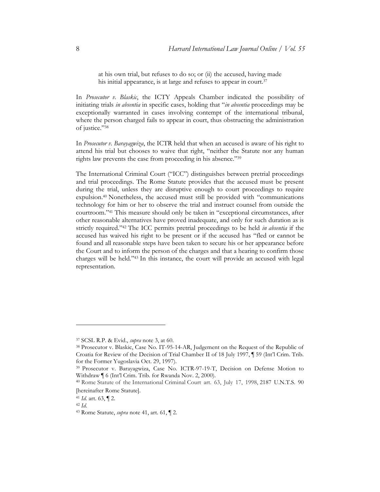at his own trial, but refuses to do so; or (ii) the accused, having made his initial appearance, is at large and refuses to appear in court.<sup>37</sup>

In *Prosecutor v. Blaskic*, the ICTY Appeals Chamber indicated the possibility of initiating trials *in absentia* in specific cases, holding that "*in absentia* proceedings may be exceptionally warranted in cases involving contempt of the international tribunal, where the person charged fails to appear in court, thus obstructing the administration of justice."<sup>38</sup>

In *Prosecutor v. Barayagwiza*, the ICTR held that when an accused is aware of his right to attend his trial but chooses to waive that right, "neither the Statute nor any human rights law prevents the case from proceeding in his absence."<sup>39</sup>

The International Criminal Court ("ICC") distinguishes between pretrial proceedings and trial proceedings. The Rome Statute provides that the accused must be present during the trial, unless they are disruptive enough to court proceedings to require expulsion.<sup>40</sup> Nonetheless, the accused must still be provided with "communications technology for him or her to observe the trial and instruct counsel from outside the courtroom."<sup>41</sup> This measure should only be taken in "exceptional circumstances, after other reasonable alternatives have proved inadequate, and only for such duration as is strictly required."<sup>42</sup> The ICC permits pretrial proceedings to be held *in absentia* if the accused has waived his right to be present or if the accused has "fled or cannot be found and all reasonable steps have been taken to secure his or her appearance before the Court and to inform the person of the charges and that a hearing to confirm those charges will be held."<sup>43</sup> In this instance, the court will provide an accused with legal representation.

<sup>37</sup> SCSL R.P. & Evid., *supra* note 3, at 60.

<sup>38</sup> Prosecutor v. Blaskic, Case No. IT-95-14-AR, Judgement on the Request of the Republic of Croatia for Review of the Decision of Trial Chamber II of 18 July 1997, ¶ 59 (Int'l Crim. Trib. for the Former Yugoslavia Oct. 29, 1997).

<sup>39</sup> Prosecutor v. Barayagwiza, Case No. ICTR-97-19-T, Decision on Defense Motion to Withdraw ¶ 6 (Int'l Crim. Trib. for Rwanda Nov. 2, 2000).

<sup>40</sup> Rome Statute of the International Criminal Court art. 63, July 17, 1998, 2187 U.N.T.S. 90 [hereinafter Rome Statute].

<sup>41</sup> *Id.* art. 63, ¶ 2.

<sup>42</sup> *Id*.

<sup>43</sup> Rome Statute, *supra* note 41, art. 61, ¶ 2.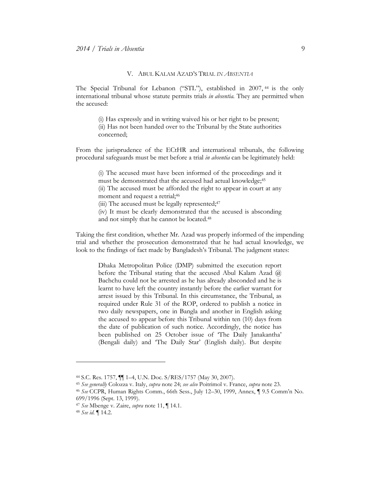#### V. ABUL KALAM AZAD'S TRIAL *IN ABSENTIA*

The Special Tribunal for Lebanon ("STL"), established in 2007,<sup>44</sup> is the only international tribunal whose statute permits trials *in absentia.* They are permitted when the accused:

(i) Has expressly and in writing waived his or her right to be present; (ii) Has not been handed over to the Tribunal by the State authorities concerned;

From the jurisprudence of the ECtHR and international tribunals, the following procedural safeguards must be met before a trial *in absentia* can be legitimately held:

(i) The accused must have been informed of the proceedings and it must be demonstrated that the accused had actual knowledge;<sup>45</sup> (ii) The accused must be afforded the right to appear in court at any moment and request a retrial;<sup>46</sup>

(iii) The accused must be legally represented;<sup>47</sup>

(iv) It must be clearly demonstrated that the accused is absconding and not simply that he cannot be located.<sup>48</sup>

Taking the first condition, whether Mr. Azad was properly informed of the impending trial and whether the prosecution demonstrated that he had actual knowledge, we look to the findings of fact made by Bangladesh's Tribunal. The judgment states:

Dhaka Metropolitan Police (DMP) submitted the execution report before the Tribunal stating that the accused Abul Kalam Azad  $(a)$ Bachchu could not be arrested as he has already absconded and he is learnt to have left the country instantly before the earlier warrant for arrest issued by this Tribunal. In this circumstance, the Tribunal, as required under Rule 31 of the ROP, ordered to publish a notice in two daily newspapers, one in Bangla and another in English asking the accused to appear before this Tribunal within ten (10) days from the date of publication of such notice. Accordingly, the notice has been published on 25 October issue of 'The Daily Janakantha' (Bengali daily) and 'The Daily Star' (English daily). But despite

<sup>45</sup> *See generally* Colozza v. Italy, *supra* note 24; *see also* Poitrimol v. France, *supra* note 23.

<sup>44</sup> S.C. Res. 1757, ¶¶ 1–4, U.N. Doc. S/RES/1757 (May 30, 2007).

<sup>46</sup> *See* CCPR, Human Rights Comm., 66th Sess., July 12–30, 1999, Annex, ¶ 9.5 Comm'n No. 699/1996 (Sept. 13, 1999).

<sup>47</sup> *See* Mbenge v. Zaire, *supra* note 11, ¶ 14.1.

<sup>48</sup> *See id.* ¶ 14.2.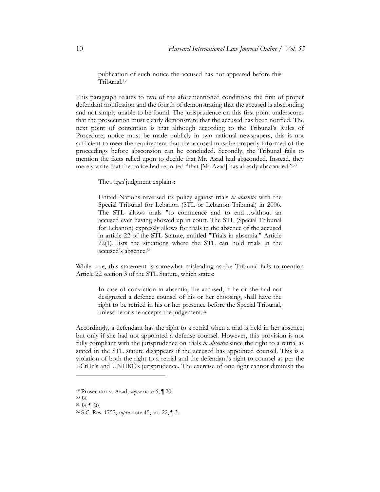publication of such notice the accused has not appeared before this Tribunal.<sup>49</sup>

This paragraph relates to two of the aforementioned conditions: the first of proper defendant notification and the fourth of demonstrating that the accused is absconding and not simply unable to be found. The jurisprudence on this first point underscores that the prosecution must clearly demonstrate that the accused has been notified. The next point of contention is that although according to the Tribunal's Rules of Procedure, notice must be made publicly in two national newspapers, this is not sufficient to meet the requirement that the accused must be properly informed of the proceedings before absconsion can be concluded. Secondly, the Tribunal fails to mention the facts relied upon to decide that Mr. Azad had absconded. Instead, they merely write that the police had reported "that [Mr Azad] has already absconded."<sup>50</sup>

The *Azad* judgment explains:

United Nations reversed its policy against trials *in absentia* with the Special Tribunal for Lebanon (STL or Lebanon Tribunal) in 2006. The STL allows trials "to commence and to end…without an accused ever having showed up in court. The STL (Special Tribunal for Lebanon) expressly allows for trials in the absence of the accused in article 22 of the STL Statute, entitled "Trials in absentia." Article 22(1), lists the situations where the STL can hold trials in the accused's absence.<sup>51</sup>

While true, this statement is somewhat misleading as the Tribunal fails to mention Article 22 section 3 of the STL Statute, which states:

In case of conviction in absentia, the accused, if he or she had not designated a defence counsel of his or her choosing, shall have the right to be retried in his or her presence before the Special Tribunal, unless he or she accepts the judgement.<sup>52</sup>

Accordingly, a defendant has the right to a retrial when a trial is held in her absence, but only if she had not appointed a defense counsel. However, this provision is not fully compliant with the jurisprudence on trials *in absentia* since the right to a retrial as stated in the STL statute disappears if the accused has appointed counsel. This is a violation of both the right to a retrial and the defendant's right to counsel as per the ECtHr's and UNHRC's jurisprudence. The exercise of one right cannot diminish the

<sup>49</sup> Prosecutor v. Azad, *supra* note 6, ¶ 20.

<sup>50</sup> *Id.*

<sup>51</sup> *Id.* ¶ 50.

<sup>52</sup> S.C. Res. 1757, *supra* note 45, art. 22, ¶ 3.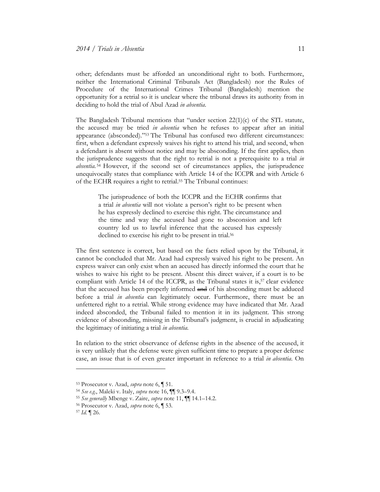other; defendants must be afforded an unconditional right to both. Furthermore, neither the International Criminal Tribunals Act (Bangladesh) nor the Rules of Procedure of the International Crimes Tribunal (Bangladesh) mention the opportunity for a retrial so it is unclear where the tribunal draws its authority from in deciding to hold the trial of Abul Azad *in absentia*.

The Bangladesh Tribunal mentions that "under section 22(1)(c) of the STL statute, the accused may be tried *in absentia* when he refuses to appear after an initial appearance (absconded)."<sup>53</sup> The Tribunal has confused two different circumstances: first, when a defendant expressly waives his right to attend his trial, and second, when a defendant is absent without notice and may be absconding. If the first applies, then the jurisprudence suggests that the right to retrial is not a prerequisite to a trial *in absentia*. <sup>54</sup> However, if the second set of circumstances applies, the jurisprudence unequivocally states that compliance with Article 14 of the ICCPR and with Article 6 of the ECHR requires a right to retrial.<sup>55</sup> The Tribunal continues:

The jurisprudence of both the ICCPR and the ECHR confirms that a trial *in absentia* will not violate a person's right to be present when he has expressly declined to exercise this right. The circumstance and the time and way the accused had gone to absconsion and left country led us to lawful inference that the accused has expressly declined to exercise his right to be present in trial.<sup>56</sup>

The first sentence is correct, but based on the facts relied upon by the Tribunal, it cannot be concluded that Mr. Azad had expressly waived his right to be present. An express waiver can only exist when an accused has directly informed the court that he wishes to waive his right to be present. Absent this direct waiver, if a court is to be compliant with Article 14 of the ICCPR, as the Tribunal states it is,<sup>57</sup> clear evidence that the accused has been properly informed and of his absconding must be adduced before a trial *in absentia* can legitimately occur. Furthermore, there must be an unfettered right to a retrial. While strong evidence may have indicated that Mr. Azad indeed absconded, the Tribunal failed to mention it in its judgment. This strong evidence of absconding, missing in the Tribunal's judgment, is crucial in adjudicating the legitimacy of initiating a trial *in absentia*.

In relation to the strict observance of defense rights in the absence of the accused, it is very unlikely that the defense were given sufficient time to prepare a proper defense case, an issue that is of even greater important in reference to a trial *in absentia*. On

<sup>53</sup> Prosecutor v. Azad, *supra* note 6, ¶ 51.

<sup>54</sup> *See e.g.*, Maleki v. Italy, *supra* note 16, ¶¶ 9.3–9.4.

<sup>55</sup> *See generally* Mbenge v. Zaire, *supra* note 11, ¶¶ 14.1–14.2.

<sup>56</sup> Prosecutor v. Azad, *supra* note 6, ¶ 53.

<sup>57</sup> *Id.* ¶ 26.